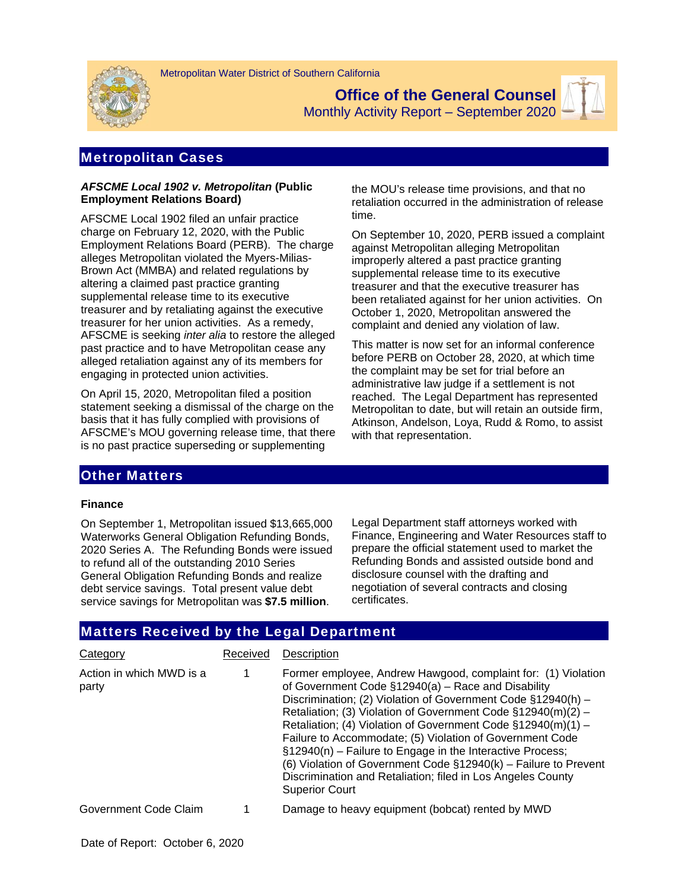

Metropolitan Water District of Southern California

**Office of the General Counsel** 



Monthly Activity Report – September 2020

## Metropolitan Cases

#### *AFSCME Local 1902 v. Metropolitan* **(Public Employment Relations Board)**

AFSCME Local 1902 filed an unfair practice charge on February 12, 2020, with the Public Employment Relations Board (PERB). The charge alleges Metropolitan violated the Myers-Milias-Brown Act (MMBA) and related regulations by altering a claimed past practice granting supplemental release time to its executive treasurer and by retaliating against the executive treasurer for her union activities. As a remedy, AFSCME is seeking *inter alia* to restore the alleged past practice and to have Metropolitan cease any alleged retaliation against any of its members for engaging in protected union activities.

On April 15, 2020, Metropolitan filed a position statement seeking a dismissal of the charge on the basis that it has fully complied with provisions of AFSCME's MOU governing release time, that there is no past practice superseding or supplementing

the MOU's release time provisions, and that no retaliation occurred in the administration of release time.

On September 10, 2020, PERB issued a complaint against Metropolitan alleging Metropolitan improperly altered a past practice granting supplemental release time to its executive treasurer and that the executive treasurer has been retaliated against for her union activities. On October 1, 2020, Metropolitan answered the complaint and denied any violation of law.

This matter is now set for an informal conference before PERB on October 28, 2020, at which time the complaint may be set for trial before an administrative law judge if a settlement is not reached. The Legal Department has represented Metropolitan to date, but will retain an outside firm, Atkinson, Andelson, Loya, Rudd & Romo, to assist with that representation.

## Other Matters

#### **Finance**

On September 1, Metropolitan issued \$13,665,000 Waterworks General Obligation Refunding Bonds, 2020 Series A. The Refunding Bonds were issued to refund all of the outstanding 2010 Series General Obligation Refunding Bonds and realize debt service savings. Total present value debt service savings for Metropolitan was **\$7.5 million**.

Legal Department staff attorneys worked with Finance, Engineering and Water Resources staff to prepare the official statement used to market the Refunding Bonds and assisted outside bond and disclosure counsel with the drafting and negotiation of several contracts and closing certificates.

### Matters Received by the Legal Department

| Category                          | Received | Description                                                                                                                                                                                                                                                                                                                                                                                                                                                                                                                                                                                             |
|-----------------------------------|----------|---------------------------------------------------------------------------------------------------------------------------------------------------------------------------------------------------------------------------------------------------------------------------------------------------------------------------------------------------------------------------------------------------------------------------------------------------------------------------------------------------------------------------------------------------------------------------------------------------------|
| Action in which MWD is a<br>party |          | Former employee, Andrew Hawgood, complaint for: (1) Violation<br>of Government Code §12940(a) – Race and Disability<br>Discrimination; (2) Violation of Government Code §12940(h) -<br>Retaliation; (3) Violation of Government Code §12940(m)(2) -<br>Retaliation; (4) Violation of Government Code §12940(m)(1) -<br>Failure to Accommodate; (5) Violation of Government Code<br>§12940(n) – Failure to Engage in the Interactive Process;<br>(6) Violation of Government Code §12940(k) - Failure to Prevent<br>Discrimination and Retaliation; filed in Los Angeles County<br><b>Superior Court</b> |
| Government Code Claim             |          | Damage to heavy equipment (bobcat) rented by MWD                                                                                                                                                                                                                                                                                                                                                                                                                                                                                                                                                        |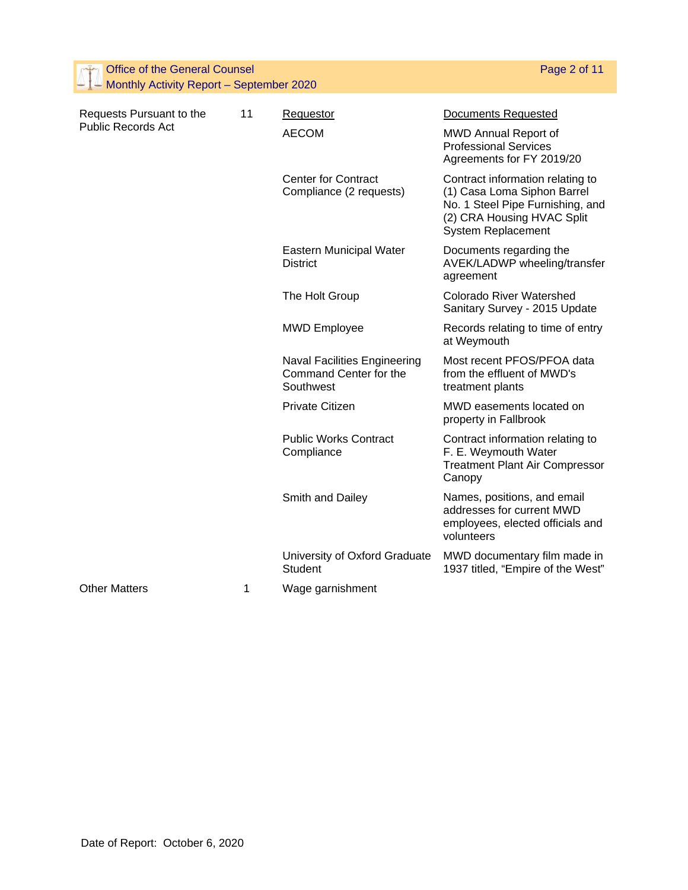| <b>Office of the General Counsel</b><br>Page 2 of 11<br>Monthly Activity Report - September 2020 |    |                                                                            |                                                                                                                                                         |  |
|--------------------------------------------------------------------------------------------------|----|----------------------------------------------------------------------------|---------------------------------------------------------------------------------------------------------------------------------------------------------|--|
| Requests Pursuant to the                                                                         | 11 | Requestor                                                                  | <b>Documents Requested</b>                                                                                                                              |  |
| <b>Public Records Act</b>                                                                        |    | <b>AECOM</b>                                                               | <b>MWD Annual Report of</b><br><b>Professional Services</b><br>Agreements for FY 2019/20                                                                |  |
|                                                                                                  |    | <b>Center for Contract</b><br>Compliance (2 requests)                      | Contract information relating to<br>(1) Casa Loma Siphon Barrel<br>No. 1 Steel Pipe Furnishing, and<br>(2) CRA Housing HVAC Split<br>System Replacement |  |
|                                                                                                  |    | Eastern Municipal Water<br><b>District</b>                                 | Documents regarding the<br>AVEK/LADWP wheeling/transfer<br>agreement                                                                                    |  |
|                                                                                                  |    | The Holt Group                                                             | <b>Colorado River Watershed</b><br>Sanitary Survey - 2015 Update                                                                                        |  |
|                                                                                                  |    | <b>MWD Employee</b>                                                        | Records relating to time of entry<br>at Weymouth                                                                                                        |  |
|                                                                                                  |    | <b>Naval Facilities Engineering</b><br>Command Center for the<br>Southwest | Most recent PFOS/PFOA data<br>from the effluent of MWD's<br>treatment plants                                                                            |  |
|                                                                                                  |    | Private Citizen                                                            | MWD easements located on<br>property in Fallbrook                                                                                                       |  |
|                                                                                                  |    | <b>Public Works Contract</b><br>Compliance                                 | Contract information relating to<br>F. E. Weymouth Water<br><b>Treatment Plant Air Compressor</b><br>Canopy                                             |  |
|                                                                                                  |    | Smith and Dailey                                                           | Names, positions, and email<br>addresses for current MWD<br>employees, elected officials and<br>volunteers                                              |  |
|                                                                                                  |    | University of Oxford Graduate<br><b>Student</b>                            | MWD documentary film made in<br>1937 titled, "Empire of the West"                                                                                       |  |
| <b>Other Matters</b>                                                                             | 1  | Wage garnishment                                                           |                                                                                                                                                         |  |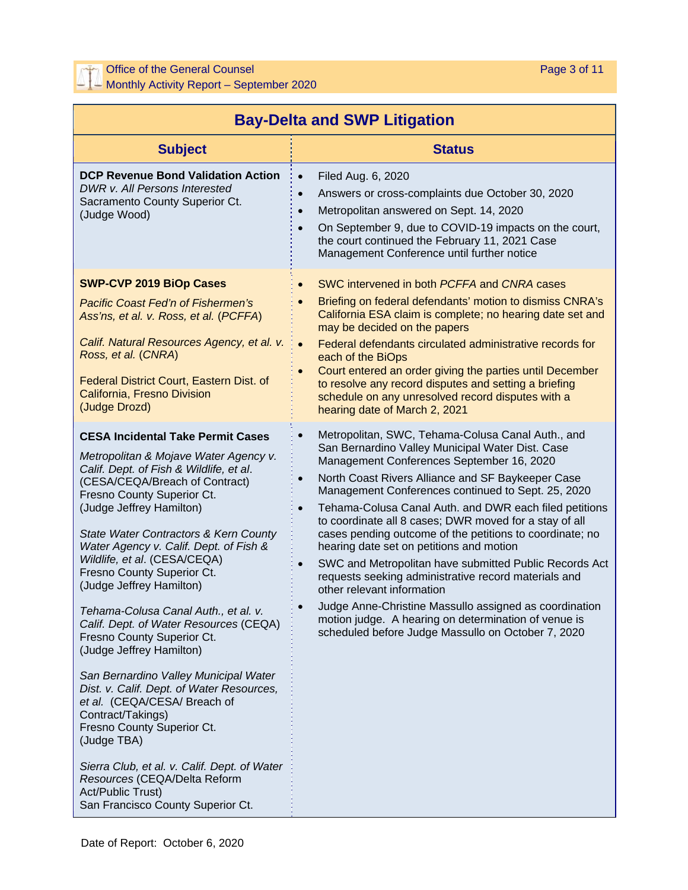

| <b>Bay-Delta and SWP Litigation</b>                                                                                                                                                                                                                                                                                                                                                                                                                                                                                                                                                                                                                                                                                                                                                                                                                                                        |                                                                                                                                                                                                                                                                                                                                                                                                                                                                                                                                                                                                                                                                                                                                                                                                                   |  |  |  |
|--------------------------------------------------------------------------------------------------------------------------------------------------------------------------------------------------------------------------------------------------------------------------------------------------------------------------------------------------------------------------------------------------------------------------------------------------------------------------------------------------------------------------------------------------------------------------------------------------------------------------------------------------------------------------------------------------------------------------------------------------------------------------------------------------------------------------------------------------------------------------------------------|-------------------------------------------------------------------------------------------------------------------------------------------------------------------------------------------------------------------------------------------------------------------------------------------------------------------------------------------------------------------------------------------------------------------------------------------------------------------------------------------------------------------------------------------------------------------------------------------------------------------------------------------------------------------------------------------------------------------------------------------------------------------------------------------------------------------|--|--|--|
| <b>Subject</b>                                                                                                                                                                                                                                                                                                                                                                                                                                                                                                                                                                                                                                                                                                                                                                                                                                                                             | <b>Status</b>                                                                                                                                                                                                                                                                                                                                                                                                                                                                                                                                                                                                                                                                                                                                                                                                     |  |  |  |
| <b>DCP Revenue Bond Validation Action</b><br>DWR v. All Persons Interested<br>Sacramento County Superior Ct.<br>(Judge Wood)                                                                                                                                                                                                                                                                                                                                                                                                                                                                                                                                                                                                                                                                                                                                                               | Filed Aug. 6, 2020<br>$\bullet$<br>Answers or cross-complaints due October 30, 2020<br>Metropolitan answered on Sept. 14, 2020<br>On September 9, due to COVID-19 impacts on the court,<br>the court continued the February 11, 2021 Case<br>Management Conference until further notice                                                                                                                                                                                                                                                                                                                                                                                                                                                                                                                           |  |  |  |
| <b>SWP-CVP 2019 BiOp Cases</b>                                                                                                                                                                                                                                                                                                                                                                                                                                                                                                                                                                                                                                                                                                                                                                                                                                                             | SWC intervened in both PCFFA and CNRA cases<br>$\bullet$                                                                                                                                                                                                                                                                                                                                                                                                                                                                                                                                                                                                                                                                                                                                                          |  |  |  |
| <b>Pacific Coast Fed'n of Fishermen's</b><br>Ass'ns, et al. v. Ross, et al. (PCFFA)                                                                                                                                                                                                                                                                                                                                                                                                                                                                                                                                                                                                                                                                                                                                                                                                        | Briefing on federal defendants' motion to dismiss CNRA's<br>California ESA claim is complete; no hearing date set and<br>may be decided on the papers                                                                                                                                                                                                                                                                                                                                                                                                                                                                                                                                                                                                                                                             |  |  |  |
| Calif. Natural Resources Agency, et al. v.<br>Ross, et al. (CNRA)                                                                                                                                                                                                                                                                                                                                                                                                                                                                                                                                                                                                                                                                                                                                                                                                                          | Federal defendants circulated administrative records for<br>$\bullet$<br>each of the BiOps                                                                                                                                                                                                                                                                                                                                                                                                                                                                                                                                                                                                                                                                                                                        |  |  |  |
| Federal District Court, Eastern Dist. of<br>California, Fresno Division<br>(Judge Drozd)                                                                                                                                                                                                                                                                                                                                                                                                                                                                                                                                                                                                                                                                                                                                                                                                   | Court entered an order giving the parties until December<br>to resolve any record disputes and setting a briefing<br>schedule on any unresolved record disputes with a<br>hearing date of March 2, 2021                                                                                                                                                                                                                                                                                                                                                                                                                                                                                                                                                                                                           |  |  |  |
| <b>CESA Incidental Take Permit Cases</b><br>Metropolitan & Mojave Water Agency v.<br>Calif. Dept. of Fish & Wildlife, et al.<br>(CESA/CEQA/Breach of Contract)<br>Fresno County Superior Ct.<br>(Judge Jeffrey Hamilton)<br>State Water Contractors & Kern County<br>Water Agency v. Calif. Dept. of Fish &<br>Wildlife, et al. (CESA/CEQA)<br>Fresno County Superior Ct.<br>(Judge Jeffrey Hamilton)<br>Tehama-Colusa Canal Auth., et al. v.<br>Calif. Dept. of Water Resources (CEQA)<br>Fresno County Superior Ct.<br>(Judge Jeffrey Hamilton)<br>San Bernardino Valley Municipal Water<br>Dist. v. Calif. Dept. of Water Resources,<br>et al. (CEQA/CESA/ Breach of<br>Contract/Takings)<br>Fresno County Superior Ct.<br>(Judge TBA)<br>Sierra Club, et al. v. Calif. Dept. of Water<br>Resources (CEQA/Delta Reform<br><b>Act/Public Trust)</b><br>San Francisco County Superior Ct. | Metropolitan, SWC, Tehama-Colusa Canal Auth., and<br>San Bernardino Valley Municipal Water Dist. Case<br>Management Conferences September 16, 2020<br>North Coast Rivers Alliance and SF Baykeeper Case<br>Management Conferences continued to Sept. 25, 2020<br>Tehama-Colusa Canal Auth. and DWR each filed petitions<br>to coordinate all 8 cases; DWR moved for a stay of all<br>cases pending outcome of the petitions to coordinate; no<br>hearing date set on petitions and motion<br>SWC and Metropolitan have submitted Public Records Act<br>requests seeking administrative record materials and<br>other relevant information<br>Judge Anne-Christine Massullo assigned as coordination<br>motion judge. A hearing on determination of venue is<br>scheduled before Judge Massullo on October 7, 2020 |  |  |  |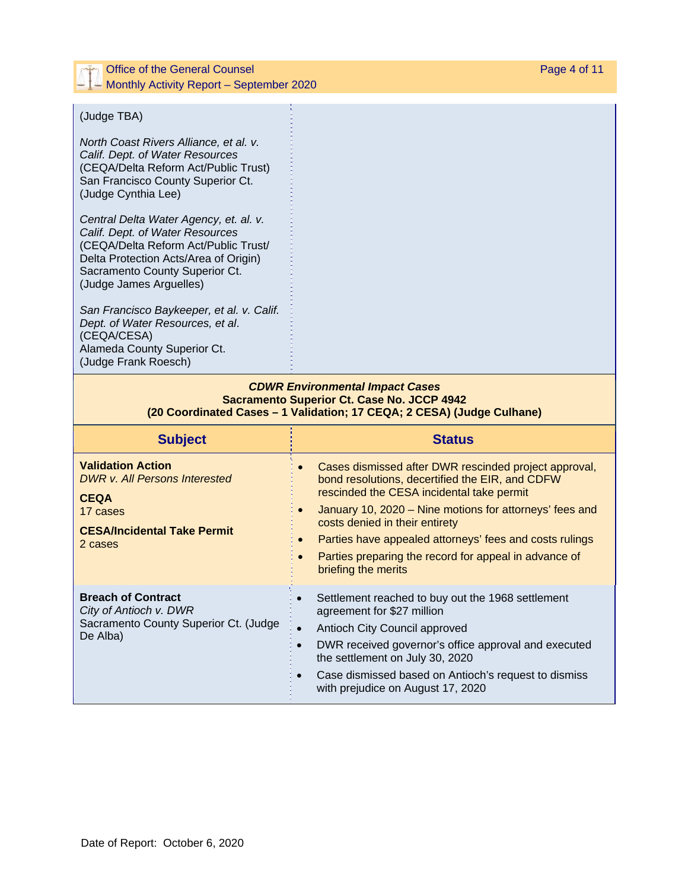| (Judge TBA)                                                                                                                                                                                                             |                                                                                             |
|-------------------------------------------------------------------------------------------------------------------------------------------------------------------------------------------------------------------------|---------------------------------------------------------------------------------------------|
| North Coast Rivers Alliance, et al. v.<br>Calif. Dept. of Water Resources<br>(CEQA/Delta Reform Act/Public Trust)<br>San Francisco County Superior Ct.<br>(Judge Cynthia Lee)                                           |                                                                                             |
| Central Delta Water Agency, et. al. v.<br>Calif. Dept. of Water Resources<br>(CEQA/Delta Reform Act/Public Trust/<br>Delta Protection Acts/Area of Origin)<br>Sacramento County Superior Ct.<br>(Judge James Arguelles) |                                                                                             |
| San Francisco Baykeeper, et al. v. Calif.<br>Dept. of Water Resources, et al.<br>(CEQA/CESA)<br>Alameda County Superior Ct.<br>(Judge Frank Roesch)                                                                     |                                                                                             |
|                                                                                                                                                                                                                         | <b>CDWR Environmental Impact Cases</b><br><b>Sacramento Superior Ct. Case No. JCCP 4942</b> |

# **Sacramento Superior Ct. Case No. JCCP 4942 (20 Coordinated Cases – 1 Validation; 17 CEQA; 2 CESA) (Judge Culhane)**

| <b>Subject</b>                                                                                                                        | <b>Status</b>                                                                                                                                                                                                                                                                                                                                                                                 |  |  |  |  |
|---------------------------------------------------------------------------------------------------------------------------------------|-----------------------------------------------------------------------------------------------------------------------------------------------------------------------------------------------------------------------------------------------------------------------------------------------------------------------------------------------------------------------------------------------|--|--|--|--|
| <b>Validation Action</b><br>DWR v. All Persons Interested<br><b>CEQA</b><br>17 cases<br><b>CESA/Incidental Take Permit</b><br>2 cases | Cases dismissed after DWR rescinded project approval,<br>bond resolutions, decertified the EIR, and CDFW<br>rescinded the CESA incidental take permit<br>January 10, 2020 – Nine motions for attorneys' fees and<br>costs denied in their entirety<br>Parties have appealed attorneys' fees and costs rulings<br>Parties preparing the record for appeal in advance of<br>briefing the merits |  |  |  |  |
| <b>Breach of Contract</b><br>City of Antioch v. DWR<br>Sacramento County Superior Ct. (Judge<br>De Alba)                              | Settlement reached to buy out the 1968 settlement<br>agreement for \$27 million<br>Antioch City Council approved<br>DWR received governor's office approval and executed<br>the settlement on July 30, 2020<br>Case dismissed based on Antioch's request to dismiss<br>with prejudice on August 17, 2020                                                                                      |  |  |  |  |

#### Page 4 of 11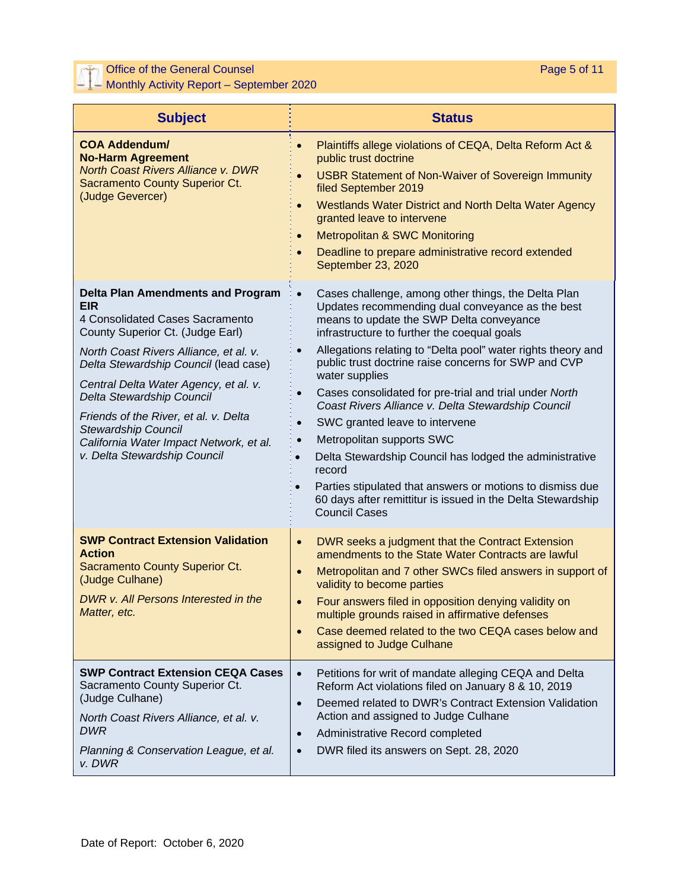

#### **Office of the General Counsel**  $\Box$  Monthly Activity Report – September 2020

| <b>Subject</b>                                                                                                                                                                                                                                                                                                                                                                                                                    | <b>Status</b>                                                                                                                                                                                                                                                                                                                                                                                                                                                                                                                                                                                                                                                                                                                                                                               |  |  |  |
|-----------------------------------------------------------------------------------------------------------------------------------------------------------------------------------------------------------------------------------------------------------------------------------------------------------------------------------------------------------------------------------------------------------------------------------|---------------------------------------------------------------------------------------------------------------------------------------------------------------------------------------------------------------------------------------------------------------------------------------------------------------------------------------------------------------------------------------------------------------------------------------------------------------------------------------------------------------------------------------------------------------------------------------------------------------------------------------------------------------------------------------------------------------------------------------------------------------------------------------------|--|--|--|
| <b>COA Addendum/</b><br><b>No-Harm Agreement</b><br><b>North Coast Rivers Alliance v. DWR</b><br>Sacramento County Superior Ct.<br>(Judge Gevercer)                                                                                                                                                                                                                                                                               | Plaintiffs allege violations of CEQA, Delta Reform Act &<br>$\bullet$<br>public trust doctrine<br><b>USBR Statement of Non-Waiver of Sovereign Immunity</b><br>$\bullet$<br>filed September 2019<br>Westlands Water District and North Delta Water Agency<br>granted leave to intervene<br><b>Metropolitan &amp; SWC Monitoring</b><br>$\bullet$<br>Deadline to prepare administrative record extended<br>September 23, 2020                                                                                                                                                                                                                                                                                                                                                                |  |  |  |
| <b>Delta Plan Amendments and Program</b><br><b>EIR</b><br>4 Consolidated Cases Sacramento<br>County Superior Ct. (Judge Earl)<br>North Coast Rivers Alliance, et al. v.<br>Delta Stewardship Council (lead case)<br>Central Delta Water Agency, et al. v.<br>Delta Stewardship Council<br>Friends of the River, et al. v. Delta<br>Stewardship Council<br>California Water Impact Network, et al.<br>v. Delta Stewardship Council | Cases challenge, among other things, the Delta Plan<br>$\bullet$<br>Updates recommending dual conveyance as the best<br>means to update the SWP Delta conveyance<br>infrastructure to further the coequal goals<br>Allegations relating to "Delta pool" water rights theory and<br>$\bullet$<br>public trust doctrine raise concerns for SWP and CVP<br>water supplies<br>Cases consolidated for pre-trial and trial under North<br>Coast Rivers Alliance v. Delta Stewardship Council<br>SWC granted leave to intervene<br>$\bullet$<br>Metropolitan supports SWC<br>Delta Stewardship Council has lodged the administrative<br>record<br>Parties stipulated that answers or motions to dismiss due<br>60 days after remittitur is issued in the Delta Stewardship<br><b>Council Cases</b> |  |  |  |
| <b>SWP Contract Extension Validation</b><br><b>Action</b><br><b>Sacramento County Superior Ct.</b><br>(Judge Culhane)<br>DWR v. All Persons Interested in the<br>Matter, etc.                                                                                                                                                                                                                                                     | DWR seeks a judgment that the Contract Extension<br>$\bullet$<br>amendments to the State Water Contracts are lawful<br>Metropolitan and 7 other SWCs filed answers in support of<br>$\bullet$<br>validity to become parties<br>Four answers filed in opposition denying validity on<br>$\bullet$<br>multiple grounds raised in affirmative defenses<br>Case deemed related to the two CEQA cases below and<br>$\bullet$<br>assigned to Judge Culhane                                                                                                                                                                                                                                                                                                                                        |  |  |  |
| <b>SWP Contract Extension CEQA Cases</b><br>Sacramento County Superior Ct.<br>(Judge Culhane)<br>North Coast Rivers Alliance, et al. v.<br><b>DWR</b><br>Planning & Conservation League, et al.<br>v. DWR                                                                                                                                                                                                                         | Petitions for writ of mandate alleging CEQA and Delta<br>$\bullet$<br>Reform Act violations filed on January 8 & 10, 2019<br>Deemed related to DWR's Contract Extension Validation<br>$\bullet$<br>Action and assigned to Judge Culhane<br>Administrative Record completed<br>$\bullet$<br>DWR filed its answers on Sept. 28, 2020<br>$\bullet$                                                                                                                                                                                                                                                                                                                                                                                                                                             |  |  |  |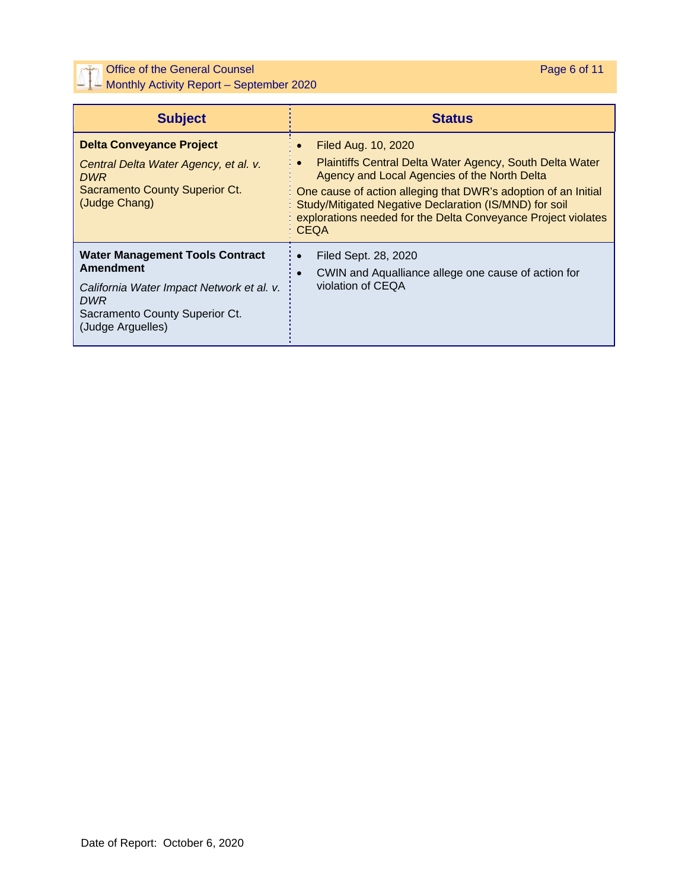

#### **Office of the General Counsel**  $\Box$  Monthly Activity Report – September 2020

| <b>Subject</b>                                                                                                                                                        | <b>Status</b>                                                                                                                                                                                                                                                                                                                                 |
|-----------------------------------------------------------------------------------------------------------------------------------------------------------------------|-----------------------------------------------------------------------------------------------------------------------------------------------------------------------------------------------------------------------------------------------------------------------------------------------------------------------------------------------|
| <b>Delta Conveyance Project</b><br>Central Delta Water Agency, et al. v.<br><b>DWR</b><br><b>Sacramento County Superior Ct.</b><br>(Judge Chang)                      | <b>Filed Aug. 10, 2020</b><br>Plaintiffs Central Delta Water Agency, South Delta Water<br>Agency and Local Agencies of the North Delta<br>One cause of action alleging that DWR's adoption of an Initial<br>Study/Mitigated Negative Declaration (IS/MND) for soil<br>explorations needed for the Delta Conveyance Project violates<br>: CEQA |
| <b>Water Management Tools Contract</b><br><b>Amendment</b><br>California Water Impact Network et al. v.<br>DWR<br>Sacramento County Superior Ct.<br>(Judge Arguelles) | Filed Sept. 28, 2020<br>CWIN and Aqualliance allege one cause of action for<br>violation of CEQA                                                                                                                                                                                                                                              |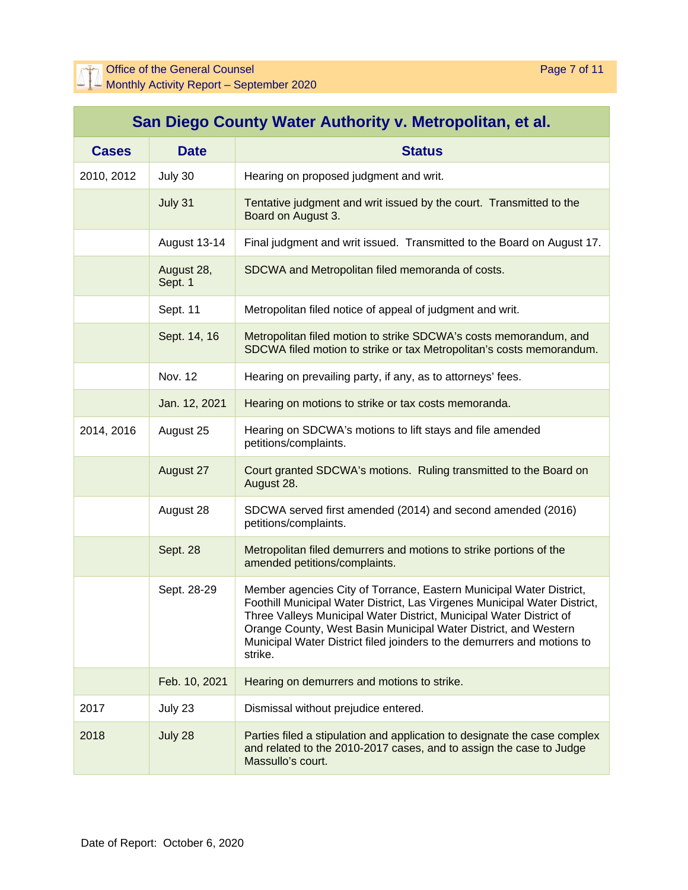| San Diego County Water Authority v. Metropolitan, et al. |                       |                                                                                                                                                                                                                                                                                                                                                                                  |  |
|----------------------------------------------------------|-----------------------|----------------------------------------------------------------------------------------------------------------------------------------------------------------------------------------------------------------------------------------------------------------------------------------------------------------------------------------------------------------------------------|--|
| <b>Cases</b>                                             | <b>Date</b>           | <b>Status</b>                                                                                                                                                                                                                                                                                                                                                                    |  |
| 2010, 2012                                               | July 30               | Hearing on proposed judgment and writ.                                                                                                                                                                                                                                                                                                                                           |  |
|                                                          | July 31               | Tentative judgment and writ issued by the court. Transmitted to the<br>Board on August 3.                                                                                                                                                                                                                                                                                        |  |
|                                                          | August 13-14          | Final judgment and writ issued. Transmitted to the Board on August 17.                                                                                                                                                                                                                                                                                                           |  |
|                                                          | August 28,<br>Sept. 1 | SDCWA and Metropolitan filed memoranda of costs.                                                                                                                                                                                                                                                                                                                                 |  |
|                                                          | Sept. 11              | Metropolitan filed notice of appeal of judgment and writ.                                                                                                                                                                                                                                                                                                                        |  |
|                                                          | Sept. 14, 16          | Metropolitan filed motion to strike SDCWA's costs memorandum, and<br>SDCWA filed motion to strike or tax Metropolitan's costs memorandum.                                                                                                                                                                                                                                        |  |
|                                                          | Nov. 12               | Hearing on prevailing party, if any, as to attorneys' fees.                                                                                                                                                                                                                                                                                                                      |  |
|                                                          | Jan. 12, 2021         | Hearing on motions to strike or tax costs memoranda.                                                                                                                                                                                                                                                                                                                             |  |
| 2014, 2016                                               | August 25             | Hearing on SDCWA's motions to lift stays and file amended<br>petitions/complaints.                                                                                                                                                                                                                                                                                               |  |
|                                                          | August 27             | Court granted SDCWA's motions. Ruling transmitted to the Board on<br>August 28.                                                                                                                                                                                                                                                                                                  |  |
|                                                          | August 28             | SDCWA served first amended (2014) and second amended (2016)<br>petitions/complaints.                                                                                                                                                                                                                                                                                             |  |
|                                                          | Sept. 28              | Metropolitan filed demurrers and motions to strike portions of the<br>amended petitions/complaints.                                                                                                                                                                                                                                                                              |  |
|                                                          | Sept. 28-29           | Member agencies City of Torrance, Eastern Municipal Water District,<br>Foothill Municipal Water District, Las Virgenes Municipal Water District,<br>Three Valleys Municipal Water District, Municipal Water District of<br>Orange County, West Basin Municipal Water District, and Western<br>Municipal Water District filed joinders to the demurrers and motions to<br>strike. |  |
|                                                          | Feb. 10, 2021         | Hearing on demurrers and motions to strike.                                                                                                                                                                                                                                                                                                                                      |  |
| 2017                                                     | July 23               | Dismissal without prejudice entered.                                                                                                                                                                                                                                                                                                                                             |  |
| 2018                                                     | July 28               | Parties filed a stipulation and application to designate the case complex<br>and related to the 2010-2017 cases, and to assign the case to Judge<br>Massullo's court.                                                                                                                                                                                                            |  |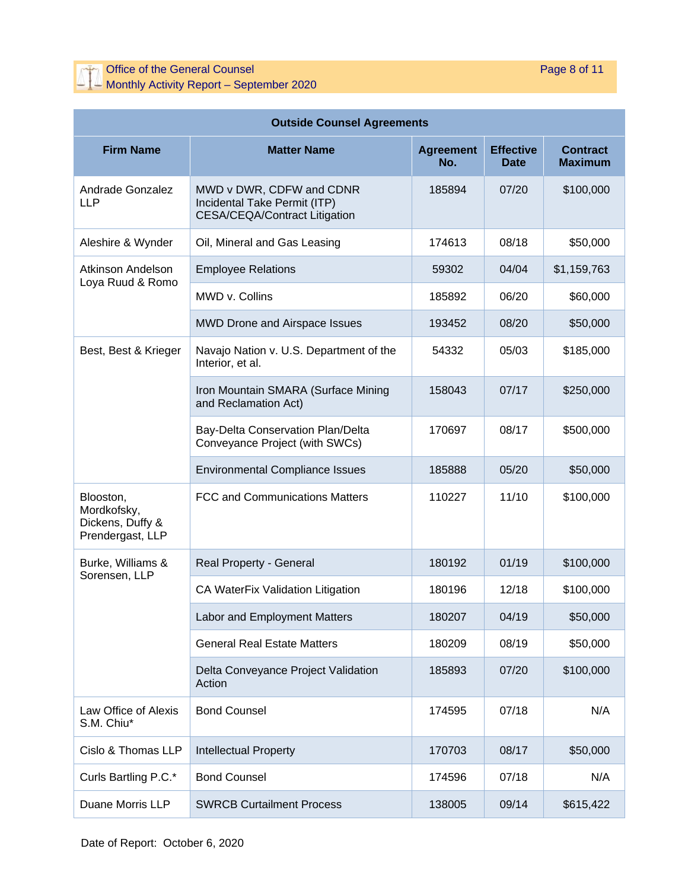

#### Office of the General Counsel Monthly Activity Report – September 2020

| <b>Outside Counsel Agreements</b>                                |                                                                                                  |                         |                                 |                                   |  |
|------------------------------------------------------------------|--------------------------------------------------------------------------------------------------|-------------------------|---------------------------------|-----------------------------------|--|
| <b>Firm Name</b>                                                 | <b>Matter Name</b>                                                                               | <b>Agreement</b><br>No. | <b>Effective</b><br><b>Date</b> | <b>Contract</b><br><b>Maximum</b> |  |
| Andrade Gonzalez<br><b>LLP</b>                                   | MWD v DWR, CDFW and CDNR<br>Incidental Take Permit (ITP)<br><b>CESA/CEQA/Contract Litigation</b> | 185894                  | 07/20                           | \$100,000                         |  |
| Aleshire & Wynder                                                | Oil, Mineral and Gas Leasing                                                                     | 174613                  | 08/18                           | \$50,000                          |  |
| Atkinson Andelson<br>Loya Ruud & Romo                            | <b>Employee Relations</b>                                                                        | 59302                   | 04/04                           | \$1,159,763                       |  |
|                                                                  | MWD v. Collins                                                                                   | 185892                  | 06/20                           | \$60,000                          |  |
|                                                                  | MWD Drone and Airspace Issues                                                                    | 193452                  | 08/20                           | \$50,000                          |  |
| Best, Best & Krieger                                             | Navajo Nation v. U.S. Department of the<br>Interior, et al.                                      | 54332                   | 05/03                           | \$185,000                         |  |
|                                                                  | Iron Mountain SMARA (Surface Mining<br>and Reclamation Act)                                      | 158043                  | 07/17                           | \$250,000                         |  |
|                                                                  | Bay-Delta Conservation Plan/Delta<br>Conveyance Project (with SWCs)                              | 170697                  | 08/17                           | \$500,000                         |  |
|                                                                  | <b>Environmental Compliance Issues</b>                                                           | 185888                  | 05/20                           | \$50,000                          |  |
| Blooston,<br>Mordkofsky,<br>Dickens, Duffy &<br>Prendergast, LLP | FCC and Communications Matters                                                                   | 110227                  | 11/10                           | \$100,000                         |  |
| Burke, Williams &<br>Sorensen, LLP                               | Real Property - General                                                                          | 180192                  | 01/19                           | \$100,000                         |  |
|                                                                  | CA WaterFix Validation Litigation                                                                | 180196                  | 12/18                           | \$100,000                         |  |
|                                                                  | Labor and Employment Matters                                                                     | 180207                  | 04/19                           | \$50,000                          |  |
|                                                                  | <b>General Real Estate Matters</b>                                                               | 180209                  | 08/19                           | \$50,000                          |  |
|                                                                  | Delta Conveyance Project Validation<br>Action                                                    | 185893                  | 07/20                           | \$100,000                         |  |
| Law Office of Alexis<br>S.M. Chiu*                               | <b>Bond Counsel</b>                                                                              | 174595                  | 07/18                           | N/A                               |  |
| Cislo & Thomas LLP                                               | <b>Intellectual Property</b>                                                                     | 170703                  | 08/17                           | \$50,000                          |  |
| Curls Bartling P.C.*                                             | <b>Bond Counsel</b>                                                                              | 174596                  | 07/18                           | N/A                               |  |
| Duane Morris LLP                                                 | <b>SWRCB Curtailment Process</b>                                                                 | 138005                  | 09/14                           | \$615,422                         |  |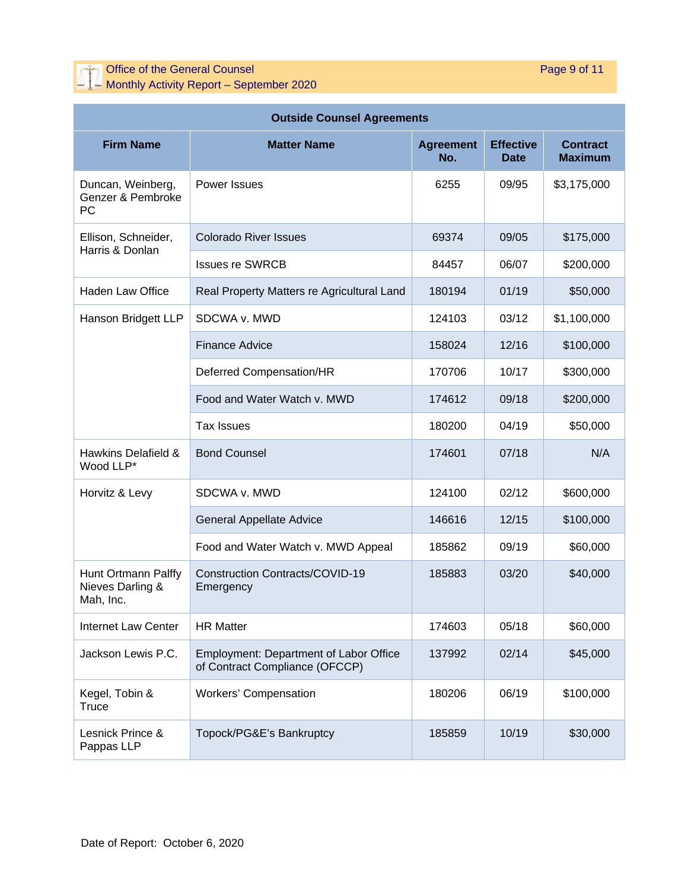

# **Office of the General Counsel**

### Page 9 of 11

Monthly Activity Report – September 2020

| <b>Outside Counsel Agreements</b>                    |                                                                                 |                         |                                 |                                   |  |
|------------------------------------------------------|---------------------------------------------------------------------------------|-------------------------|---------------------------------|-----------------------------------|--|
| <b>Firm Name</b>                                     | <b>Matter Name</b>                                                              | <b>Agreement</b><br>No. | <b>Effective</b><br><b>Date</b> | <b>Contract</b><br><b>Maximum</b> |  |
| Duncan, Weinberg,<br>Genzer & Pembroke<br>PC         | Power Issues                                                                    | 6255                    | 09/95                           | \$3,175,000                       |  |
| Ellison, Schneider,<br>Harris & Donlan               | <b>Colorado River Issues</b>                                                    | 69374                   | 09/05                           | \$175,000                         |  |
|                                                      | <b>Issues re SWRCB</b>                                                          | 84457                   | 06/07                           | \$200,000                         |  |
| <b>Haden Law Office</b>                              | Real Property Matters re Agricultural Land                                      | 180194                  | 01/19                           | \$50,000                          |  |
| Hanson Bridgett LLP                                  | SDCWA v. MWD                                                                    | 124103                  | 03/12                           | \$1,100,000                       |  |
|                                                      | <b>Finance Advice</b>                                                           | 158024                  | 12/16                           | \$100,000                         |  |
|                                                      | Deferred Compensation/HR                                                        | 170706                  | 10/17                           | \$300,000                         |  |
|                                                      | Food and Water Watch v. MWD                                                     | 174612                  | 09/18                           | \$200,000                         |  |
|                                                      | <b>Tax Issues</b>                                                               | 180200                  | 04/19                           | \$50,000                          |  |
| Hawkins Delafield &<br>Wood LLP*                     | <b>Bond Counsel</b>                                                             | 174601                  | 07/18                           | N/A                               |  |
| Horvitz & Levy                                       | SDCWA v. MWD                                                                    | 124100                  | 02/12                           | \$600,000                         |  |
|                                                      | General Appellate Advice                                                        | 146616                  | 12/15                           | \$100,000                         |  |
|                                                      | Food and Water Watch v. MWD Appeal                                              | 185862                  | 09/19                           | \$60,000                          |  |
| Hunt Ortmann Palffy<br>Nieves Darling &<br>Mah, Inc. | <b>Construction Contracts/COVID-19</b><br>Emergency                             | 185883                  | 03/20                           | \$40,000                          |  |
| <b>Internet Law Center</b>                           | <b>HR Matter</b>                                                                | 174603                  | 05/18                           | \$60,000                          |  |
| Jackson Lewis P.C.                                   | <b>Employment: Department of Labor Office</b><br>of Contract Compliance (OFCCP) | 137992                  | 02/14                           | \$45,000                          |  |
| Kegel, Tobin &<br><b>Truce</b>                       | Workers' Compensation                                                           | 180206                  | 06/19                           | \$100,000                         |  |
| Lesnick Prince &<br>Pappas LLP                       | Topock/PG&E's Bankruptcy                                                        | 185859                  | 10/19                           | \$30,000                          |  |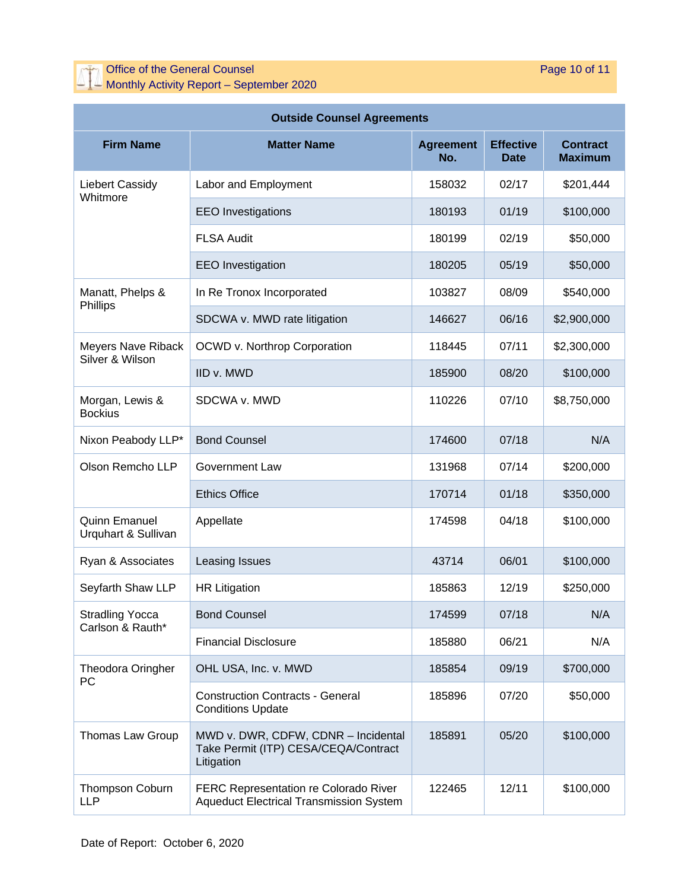

#### Office of the General Counsel Monthly Activity Report – September 2020

| <b>Outside Counsel Agreements</b>            |                                                                                           |                         |                                 |                                   |  |
|----------------------------------------------|-------------------------------------------------------------------------------------------|-------------------------|---------------------------------|-----------------------------------|--|
| <b>Firm Name</b>                             | <b>Matter Name</b>                                                                        | <b>Agreement</b><br>No. | <b>Effective</b><br><b>Date</b> | <b>Contract</b><br><b>Maximum</b> |  |
| Liebert Cassidy                              | Labor and Employment                                                                      | 158032                  | 02/17                           | \$201,444                         |  |
| Whitmore                                     | <b>EEO</b> Investigations                                                                 | 180193                  | 01/19                           | \$100,000                         |  |
|                                              | <b>FLSA Audit</b>                                                                         | 180199                  | 02/19                           | \$50,000                          |  |
|                                              | <b>EEO</b> Investigation                                                                  | 180205                  | 05/19                           | \$50,000                          |  |
| Manatt, Phelps &                             | In Re Tronox Incorporated                                                                 | 103827                  | 08/09                           | \$540,000                         |  |
| <b>Phillips</b>                              | SDCWA v. MWD rate litigation                                                              | 146627                  | 06/16                           | \$2,900,000                       |  |
| <b>Meyers Nave Riback</b><br>Silver & Wilson | OCWD v. Northrop Corporation                                                              | 118445                  | 07/11                           | \$2,300,000                       |  |
|                                              | IID v. MWD                                                                                | 185900                  | 08/20                           | \$100,000                         |  |
| Morgan, Lewis &<br><b>Bockius</b>            | SDCWA v. MWD                                                                              | 110226                  | 07/10                           | \$8,750,000                       |  |
| Nixon Peabody LLP*                           | <b>Bond Counsel</b>                                                                       | 174600                  | 07/18                           | N/A                               |  |
| Olson Remcho LLP                             | Government Law                                                                            | 131968                  | 07/14                           | \$200,000                         |  |
|                                              | <b>Ethics Office</b>                                                                      | 170714                  | 01/18                           | \$350,000                         |  |
| <b>Quinn Emanuel</b><br>Urquhart & Sullivan  | Appellate                                                                                 | 174598                  | 04/18                           | \$100,000                         |  |
| Ryan & Associates                            | Leasing Issues                                                                            | 43714                   | 06/01                           | \$100,000                         |  |
| Seyfarth Shaw LLP                            | <b>HR Litigation</b>                                                                      | 185863                  | 12/19                           | \$250,000                         |  |
| <b>Stradling Yocca</b><br>Carlson & Rauth*   | <b>Bond Counsel</b>                                                                       | 174599                  | 07/18                           | N/A                               |  |
|                                              | <b>Financial Disclosure</b>                                                               | 185880                  | 06/21                           | N/A                               |  |
| <b>Theodora Oringher</b>                     | OHL USA, Inc. v. MWD                                                                      | 185854                  | 09/19                           | \$700,000                         |  |
| PC                                           | <b>Construction Contracts - General</b><br><b>Conditions Update</b>                       | 185896                  | 07/20                           | \$50,000                          |  |
| Thomas Law Group                             | MWD v. DWR, CDFW, CDNR - Incidental<br>Take Permit (ITP) CESA/CEQA/Contract<br>Litigation | 185891                  | 05/20                           | \$100,000                         |  |
| Thompson Coburn<br><b>LLP</b>                | FERC Representation re Colorado River<br><b>Aqueduct Electrical Transmission System</b>   | 122465                  | 12/11                           | \$100,000                         |  |